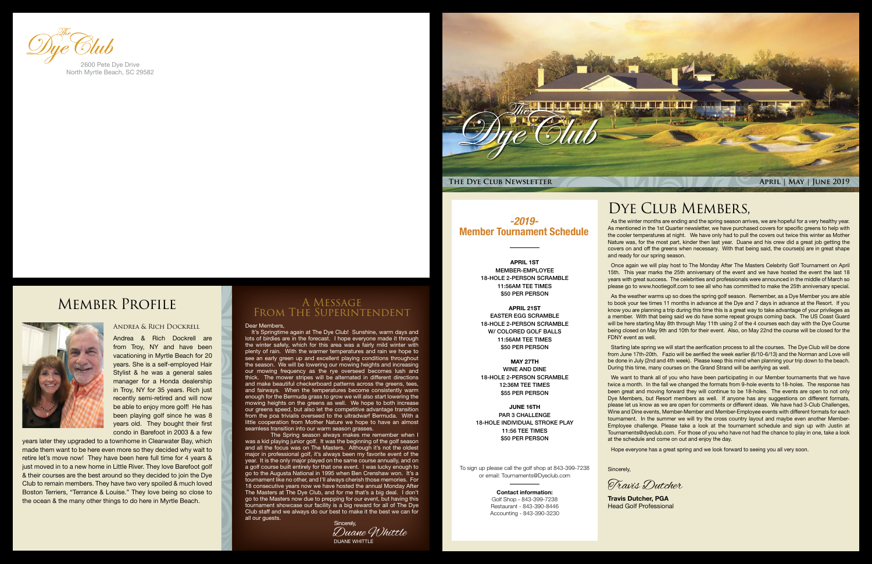

#### Dear Members,

It's Springtime again at The Dye Club! Sunshine, warm days and lots of birdies are in the forecast. I hope everyone made it through the winter safely, which for this area was a fairly mild winter with plenty of rain. With the warmer temperatures and rain we hope to see an early green up and excellent playing conditions throughout the season. We will be lowering our mowing heights and increasing our mowing frequency as the rye overseed becomes lush and thick. The mower stripes will be alternated in different directions and make beautiful checkerboard patterns across the greens, tees, and fairways. When the temperatures become consistently warm enough for the Bermuda grass to grow we will also start lowering the mowing heights on the greens as well. We hope to both increase our greens speed, but also let the competitive advantage transition from the poa trivialis overseed to the ultradwarf Bermuda. With a little cooperation from Mother Nature we hope to have an almost seamless transition into our warm season grasses.

The Spring season always makes me remember when I was a kid playing junior golf. It was the beginning of the golf season and all the focus was on The Masters. Although it's not the oldest major in professional golf, it's always been my favorite event of the year. It is the only major played on the same course annually, and on a golf course built entirely for that one event. I was lucky enough to go to the Augusta National in 1995 when Ben Crenshaw won. It's a tournament like no other, and I'll always cherish those memories. For 18 consecutive years now we have hosted the annual Monday After The Masters at The Dye Club, and for me that's a big deal. I don't go to the Masters now due to prepping for our event, but having this tournament showcase our facility is a big reward for all of The Dye Club staff and we always do our best to make it the best we can for all our quests

#### A Message From The Superintendent

#### Andrea & Rich Dockrell

Andrea & Rich Dockrell are from Troy, NY and have been vacationing in Myrtle Beach for 20 years. She is a self-employed Hair Stylist & he was a general sales manager for a Honda dealership in Troy, NY for 35 years. Rich just recently semi-retired and will now be able to enjoy more golf! He has been playing golf since he was 8 years old. They bought their first condo in Barefoot in 2003 & a few

years later they upgraded to a townhome in Clearwater Bay, which made them want to be here even more so they decided why wait to retire let's move now! They have been here full time for 4 years & just moved in to a new home in Little River. They love Barefoot golf & their courses are the best around so they decided to join the Dye Club to remain members. They have two very spoiled & much loved Boston Terriers, "Terrance & Louise." They love being so close to the ocean & the many other things to do here in Myrtle Beach.



North Myrtle Beach, SC 29582

### Member Profile



DUANE WHITTLE Duane Whittle Sincerely,

#### DYE CLUB MEMBERS,

As the winter months are ending and the spring season arrives, we are hopeful for a very healthy year. As mentioned in the 1st Quarter newsletter, we have purchased covers for specific greens to help with the cooler temperatures at night. We have only had to pull the covers out twice this winter as Mother Nature was, for the most part, kinder then last year. Duane and his crew did a great job getting the covers on and off the greens when necessary. With that being said, the course(s) are in great shape and ready for our spring season.

Once again we will play host to The Monday After The Masters Celebrity Golf Tournament on April 15th. This year marks the 25th anniversary of the event and we have hosted the event the last 18 years with great success. The celebrities and professionals were announced in the middle of March so please go to www.hootiegolf.com to see all who has committed to make the 25th anniversary special.

As the weather warms up so does the spring golf season. Remember, as a Dye Member you are able to book your tee times 11 months in advance at the Dye and 7 days in advance at the Resort. If you know you are planning a trip during this time this is a great way to take advantage of your privileges as a member. With that being said we do have some repeat groups coming back. The US Coast Guard will be here starting May 8th through May 11th using 2 of the 4 courses each day with the Dye Course being closed on May 9th and 10th for their event. Also, on May 22nd the course will be closed for the FDNY event as well.

Starting late spring we will start the aerification process to all the courses. The Dye Club will be done from June 17th-20th. Fazio will be aerified the week earlier (6/10-6/13) and the Norman and Love will be done in July (2nd and 4th week). Please keep this mind when planning your trip down to the beach. During this time, many courses on the Grand Strand will be aerifying as well.

We want to thank all of you who have been participating in our Member tournaments that we have twice a month. In the fall we changed the formats from 9-hole events to 18-holes. The response has been great and moving forward they will continue to be 18-holes. The events are open to not only Dye Members, but Resort members as well. If anyone has any suggestions on different formats, please let us know as we are open for comments or different ideas. We have had 3-Club Challenges, Wine and Dine events, Member-Member and Member-Employee events with different formats for each tournament. In the summer we will try the cross country layout and maybe even another Member-Employee challenge. Please take a look at the tournament schedule and sign up with Justin at Tournaments@dyeclub.com. For those of you who have not had the chance to play in one, take a look at the schedule and come on out and enjoy the day.

Hope everyone has a great spring and we look forward to seeing you all very soon.

Sincerely,

**Travis Dutcher, PGA** Head Golf Professional

Travis Dutcher

*-2019-* Member Tournament Schedule

> APRIL 1ST MEMBER-EMPLOYEE 18-HOLE 2-PERSON SCRAMBLE 11:56AM TEE TIMES \$50 PER PERSON

APRIL 21ST EASTER EGG SCRAMBLE 18-HOLE 2-PERSON SCRAMBLE W/ COLORED GOLF BALLS 11:56AM TEE TIMES \$50 PER PERSON

MAY 27TH WINE AND DINE 18-HOLE 2-PERSON SCRAMBLE 12:36M TEE TIMES \$55 PER PERSON

JUNE 16TH PAR 3 CHALLENGE 18-HOLE INDIVIDUAL STROKE PLAY 11:56 TEE TIMES \$50 PER PERSON

To sign up please call the golf shop at 843-399-7238 or email: Tournaments@Dyeclub.com

> Contact information: Golf Shop - 843-399-7238 Restaurant - 843-390-8446 Accounting - 843-390-3230